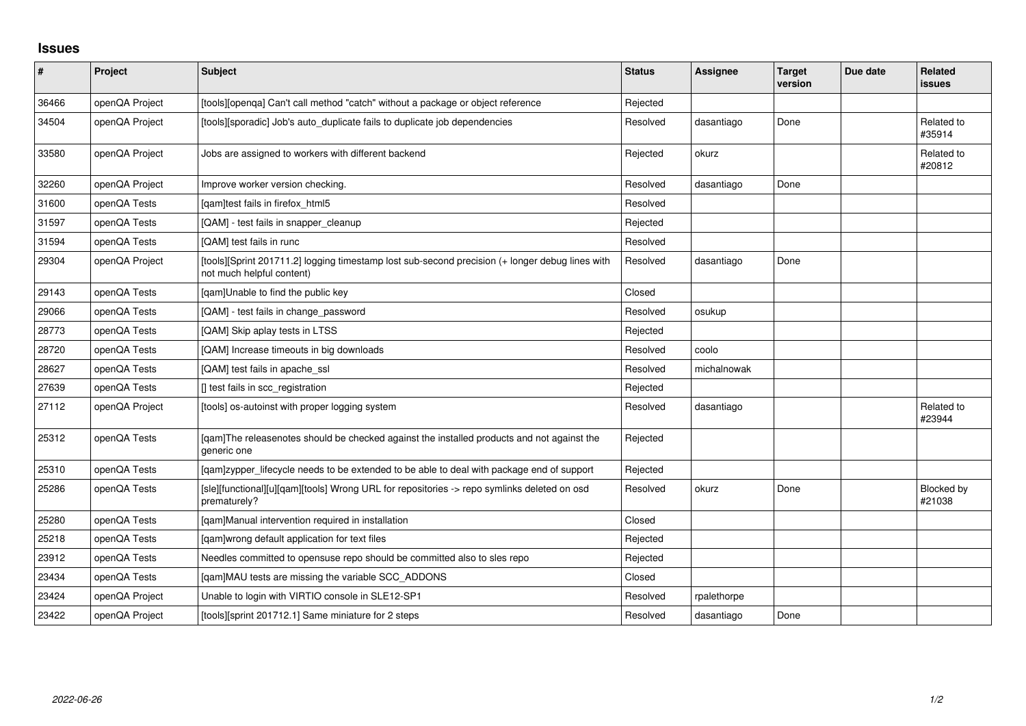## **Issues**

| $\vert$ # | Project        | <b>Subject</b>                                                                                                               | <b>Status</b> | <b>Assignee</b> | <b>Target</b><br>version | Due date | Related<br>issues    |
|-----------|----------------|------------------------------------------------------------------------------------------------------------------------------|---------------|-----------------|--------------------------|----------|----------------------|
| 36466     | openQA Project | [tools][openqa] Can't call method "catch" without a package or object reference                                              | Rejected      |                 |                          |          |                      |
| 34504     | openQA Project | [tools][sporadic] Job's auto_duplicate fails to duplicate job dependencies                                                   | Resolved      | dasantiago      | Done                     |          | Related to<br>#35914 |
| 33580     | openQA Project | Jobs are assigned to workers with different backend                                                                          | Rejected      | okurz           |                          |          | Related to<br>#20812 |
| 32260     | openQA Project | Improve worker version checking.                                                                                             | Resolved      | dasantiago      | Done                     |          |                      |
| 31600     | openQA Tests   | [qam]test fails in firefox_html5                                                                                             | Resolved      |                 |                          |          |                      |
| 31597     | openQA Tests   | [QAM] - test fails in snapper_cleanup                                                                                        | Rejected      |                 |                          |          |                      |
| 31594     | openQA Tests   | [QAM] test fails in runc                                                                                                     | Resolved      |                 |                          |          |                      |
| 29304     | openQA Project | [tools][Sprint 201711.2] logging timestamp lost sub-second precision (+ longer debug lines with<br>not much helpful content) | Resolved      | dasantiago      | Done                     |          |                      |
| 29143     | openQA Tests   | [qam]Unable to find the public key                                                                                           | Closed        |                 |                          |          |                      |
| 29066     | openQA Tests   | [QAM] - test fails in change_password                                                                                        | Resolved      | osukup          |                          |          |                      |
| 28773     | openQA Tests   | [QAM] Skip aplay tests in LTSS                                                                                               | Rejected      |                 |                          |          |                      |
| 28720     | openQA Tests   | [QAM] Increase timeouts in big downloads                                                                                     | Resolved      | coolo           |                          |          |                      |
| 28627     | openQA Tests   | [QAM] test fails in apache_ssl                                                                                               | Resolved      | michalnowak     |                          |          |                      |
| 27639     | openQA Tests   | [] test fails in scc_registration                                                                                            | Rejected      |                 |                          |          |                      |
| 27112     | openQA Project | [tools] os-autoinst with proper logging system                                                                               | Resolved      | dasantiago      |                          |          | Related to<br>#23944 |
| 25312     | openQA Tests   | [gam]The releasenotes should be checked against the installed products and not against the<br>generic one                    | Rejected      |                 |                          |          |                      |
| 25310     | openQA Tests   | [gam]zypper_lifecycle needs to be extended to be able to deal with package end of support                                    | Rejected      |                 |                          |          |                      |
| 25286     | openQA Tests   | [sle][functional][u][qam][tools] Wrong URL for repositories -> repo symlinks deleted on osd<br>prematurely?                  | Resolved      | okurz           | Done                     |          | Blocked by<br>#21038 |
| 25280     | openQA Tests   | [qam]Manual intervention required in installation                                                                            | Closed        |                 |                          |          |                      |
| 25218     | openQA Tests   | [qam]wrong default application for text files                                                                                | Rejected      |                 |                          |          |                      |
| 23912     | openQA Tests   | Needles committed to opensuse repo should be committed also to sles repo                                                     | Rejected      |                 |                          |          |                      |
| 23434     | openQA Tests   | [qam]MAU tests are missing the variable SCC_ADDONS                                                                           | Closed        |                 |                          |          |                      |
| 23424     | openQA Project | Unable to login with VIRTIO console in SLE12-SP1                                                                             | Resolved      | rpalethorpe     |                          |          |                      |
| 23422     | openQA Project | [tools][sprint 201712.1] Same miniature for 2 steps                                                                          | Resolved      | dasantiago      | Done                     |          |                      |